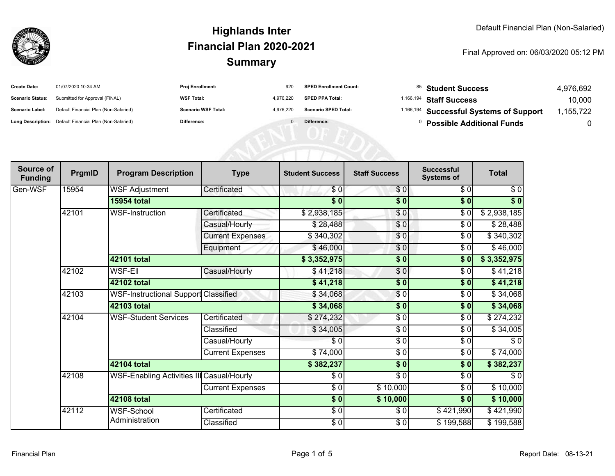

| <b>Create Date:</b>     | 01/07/2020 10:34 AM                                     | <b>Proj Enrollment:</b>    | 920       | <b>SPED Enrollment Count:</b> | <sup>85</sup> Student Success                      | 4,976,692 |
|-------------------------|---------------------------------------------------------|----------------------------|-----------|-------------------------------|----------------------------------------------------|-----------|
| <b>Scenario Status:</b> | Submitted for Approval (FINAL)                          | <b>WSF Total:</b>          | 4.976.220 | <b>SPED PPA Total:</b>        | <sup>1,166,194</sup> Staff Success                 | 10,000    |
| <b>Scenario Label:</b>  | Default Financial Plan (Non-Salaried)                   | <b>Scenario WSF Total:</b> | 4.976.220 | <b>Scenario SPED Total:</b>   | <sup>1,166,194</sup> Successful Systems of Support | ,155,722  |
|                         | Long Description: Default Financial Plan (Non-Salaried) | <b>Difference:</b>         |           | Difference:                   | <b>Possible Additional Funds</b>                   |           |

| Source of<br><b>Funding</b> | PrgmID | <b>Program Description</b>                  | <b>Type</b>             | <b>Student Success</b> | <b>Staff Success</b>     | <b>Successful</b><br><b>Systems of</b> | <b>Total</b>      |
|-----------------------------|--------|---------------------------------------------|-------------------------|------------------------|--------------------------|----------------------------------------|-------------------|
| Gen-WSF                     | 15954  | <b>WSF Adjustment</b>                       | Certificated            | \$0                    | \$0                      | \$0                                    | $\sqrt{6}$        |
|                             |        | <b>15954 total</b>                          |                         | $\overline{\$0}$       | $\overline{\$0}$         | $\sqrt{6}$                             | $\overline{\$}$ 0 |
|                             | 42101  | <b>WSF-Instruction</b>                      | Certificated            | \$2,938,185            | \$0                      | \$0                                    | \$2,938,185       |
|                             |        |                                             | Casual/Hourly           | \$28,488               | \$0                      | $\sqrt{6}$                             | \$28,488          |
|                             |        |                                             | <b>Current Expenses</b> | \$340,302              | \$0                      | \$0                                    | \$340,302         |
|                             |        |                                             | Equipment               | \$46,000               | \$0                      | \$0                                    | \$46,000          |
|                             |        | 42101 total                                 |                         | \$3,352,975            | \$0                      | \$0                                    | \$3,352,975       |
|                             | 42102  | <b>WSF-EII</b>                              | Casual/Hourly           | \$41,218               | $\frac{6}{6}$            | \$0                                    | \$41,218          |
|                             |        | 42102 total                                 |                         | \$41,218               | $\frac{1}{2}$            | \$0                                    | \$41,218          |
|                             | 42103  | <b>WSF-Instructional Support Classified</b> |                         | \$34,068               | $\frac{6}{3}$            | \$0                                    | \$34,068          |
|                             |        | 42103 total                                 |                         | \$34,068               | \$0                      | \$0                                    | \$34,068          |
|                             | 42104  | <b>WSF-Student Services</b>                 | Certificated            | \$274,232              | $\frac{3}{2}$            | $\sqrt{6}$                             | \$274,232         |
|                             |        |                                             | Classified              | \$34,005               | $\frac{3}{6}$            | \$0                                    | \$34,005          |
|                             |        |                                             | Casual/Hourly           | \$0                    | $\frac{3}{2}$            | \$0                                    | \$0               |
|                             |        |                                             | <b>Current Expenses</b> | \$74,000               | \$0                      | \$0                                    | \$74,000          |
|                             |        | 42104 total                                 |                         | \$382,237              | $\overline{\$0}$         | $\overline{\$0}$                       | \$382,237         |
|                             | 42108  | WSF-Enabling Activities III Casual/Hourly   |                         | \$0                    | $\overline{\frac{1}{6}}$ | \$0                                    | $\sqrt{6}$        |
|                             |        |                                             | <b>Current Expenses</b> | \$0                    | \$10,000                 | \$0                                    | \$10,000          |
|                             |        | 42108 total                                 |                         | $\sqrt{6}$             | \$10,000                 | \$0                                    | \$10,000          |
|                             | 42112  | <b>WSF-School</b>                           | Certificated            | $\frac{6}{6}$          | \$0                      | \$421,990                              | \$421,990         |
|                             |        | Administration                              | Classified              | \$0                    | $\frac{6}{6}$            | \$199,588                              | \$199,588         |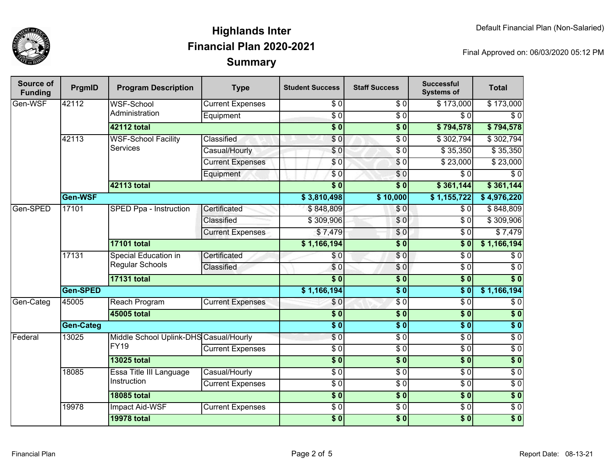

| Source of<br><b>Funding</b> | PrgmID           | <b>Program Description</b>                                 | <b>Type</b>             | <b>Student Success</b> | <b>Staff Success</b>   | <b>Successful</b><br><b>Systems of</b> | <b>Total</b>       |
|-----------------------------|------------------|------------------------------------------------------------|-------------------------|------------------------|------------------------|----------------------------------------|--------------------|
| Gen-WSF                     | 42112            | <b>WSF-School</b><br>Administration                        | <b>Current Expenses</b> | \$0                    | \$0                    | \$173,000                              | \$173,000          |
|                             |                  |                                                            | Equipment               | $\overline{S}0$        | $\overline{30}$        | $\overline{\frac{1}{5}}$               | $\overline{\$0}$   |
|                             |                  | 42112 total                                                |                         | $\overline{\bullet}$   | $\overline{\$0}$       | \$794,578                              | \$794,578          |
|                             | 42113            | <b>WSF-School Facility</b><br><b>Services</b>              | Classified              | \$0                    | $\overline{30}$        | \$302,794                              | \$302,794          |
|                             |                  |                                                            | Casual/Hourly           | $\sqrt{6}$             | $\overline{\$0}$       | \$35,350                               | \$35,350           |
|                             |                  |                                                            | <b>Current Expenses</b> | \$0                    | $\sqrt{6}$             | \$23,000                               | \$23,000           |
|                             |                  |                                                            | Equipment               | $\overline{\$0}$       | \$0                    | $\overline{\$0}$                       | $\overline{\$0}$   |
|                             |                  | 42113 total                                                |                         | $\overline{\$0}$       | $\overline{\bullet}$ 0 | \$361,144                              | \$361,144          |
|                             | Gen-WSF          |                                                            |                         | \$3,810,498            | \$10,000               | \$1,155,722                            | \$4,976,220        |
| Gen-SPED                    | 17101            | SPED Ppa - Instruction                                     | Certificated            | \$848,809              | \$0                    | \$0                                    | \$848,809          |
|                             |                  |                                                            | Classified              | \$309,906              | $\overline{S}0$        | $\overline{\$0}$                       | \$309,906          |
|                             |                  |                                                            | <b>Current Expenses</b> | \$7,479                | \$0                    | $\sqrt{6}$                             | \$7,479            |
|                             |                  | <b>17101 total</b>                                         |                         | \$1,166,194            | $\overline{\$0}$       | $\overline{\$0}$                       | \$1,166,194        |
|                             | 17131            | Special Education in<br>Regular Schools                    | Certificated            | \$0                    | $\sqrt{6}$             | \$0                                    | \$0                |
|                             |                  |                                                            | Classified              | \$0                    | \$0                    | $\overline{\$0}$                       | $\overline{\$0}$   |
|                             |                  | <b>17131 total</b>                                         |                         | $\overline{\$0}$       | $\overline{\$0}$       | $\overline{\$0}$                       | $\sqrt{6}$         |
|                             | Gen-SPED         |                                                            |                         | \$1,166,194            | $\overline{\$0}$       | $\overline{\$0}$                       | \$1,166,194        |
| Gen-Categ                   | 45005            | Reach Program                                              | <b>Current Expenses</b> | \$0                    | $\overline{\$0}$       | $\overline{\$0}$                       | $\overline{\$0}$   |
|                             |                  | 45005 total                                                |                         | $\overline{\$0}$       | $\overline{\$0}$       | $\overline{\$0}$                       | \$0                |
|                             | <b>Gen-Categ</b> |                                                            |                         | $\overline{\$0}$       | $\overline{\$0}$       | $\overline{\$0}$                       | $\overline{\$0}$   |
| Federal                     | 13025            | Middle School Uplink-DHS Casual/Hourly<br>FY <sub>19</sub> |                         | $\overline{\$0}$       | $\overline{S}0$        | $\sqrt{6}$                             | \$0                |
|                             |                  |                                                            | <b>Current Expenses</b> | $\overline{30}$        | $\overline{30}$        | $\overline{\$0}$                       | \$0                |
|                             |                  | <b>13025 total</b>                                         |                         | $\overline{\$0}$       | $\overline{\$0}$       | $\overline{\$0}$                       | \$0                |
|                             | 18085            | Essa Title III Language<br>Instruction                     | Casual/Hourly           | $\overline{\$0}$       | $\sqrt{6}$             | $\sqrt{6}$                             | $\frac{1}{\sigma}$ |
|                             |                  |                                                            | <b>Current Expenses</b> | $\overline{\$0}$       | $\overline{\$0}$       | $\sqrt{6}$                             | $\overline{\$0}$   |
|                             |                  | <b>18085 total</b>                                         |                         | $\overline{\$0}$       | $\overline{\$0}$       | $\overline{\$0}$                       | $\overline{\$0}$   |
|                             | 19978            | <b>Impact Aid-WSF</b>                                      | <b>Current Expenses</b> | $\overline{30}$        | $\overline{30}$        | $\overline{\$0}$                       | \$0                |
|                             |                  | <b>19978 total</b>                                         |                         | $\overline{\$0}$       | $\overline{\$0}$       | $\overline{\$0}$                       | $\overline{\$0}$   |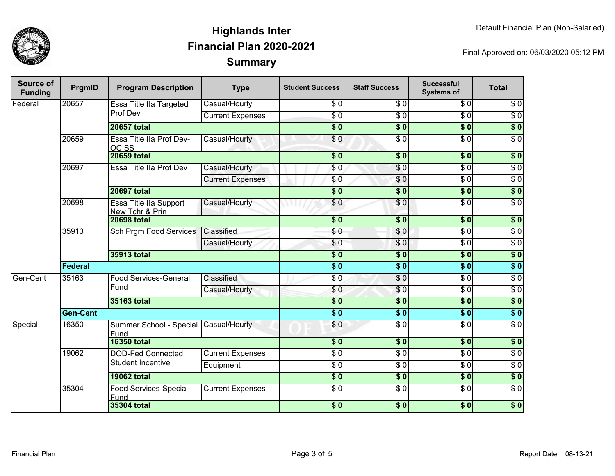

| <b>Source of</b><br><b>Funding</b> | PrgmID          | <b>Program Description</b>                           | <b>Type</b>                                   | <b>Student Success</b> | <b>Staff Success</b>        | <b>Successful</b><br><b>Systems of</b> | <b>Total</b>     |                  |
|------------------------------------|-----------------|------------------------------------------------------|-----------------------------------------------|------------------------|-----------------------------|----------------------------------------|------------------|------------------|
| Federal                            | 20657           | Essa Title IIa Targeted<br>Prof Dev                  | Casual/Hourly                                 | \$0                    | $\overline{\$0}$            | $\overline{\$0}$                       | $\overline{\$0}$ |                  |
|                                    |                 |                                                      | <b>Current Expenses</b>                       | $\overline{30}$        | $\overline{S}0$             | $\overline{\$0}$                       | $\overline{\$0}$ |                  |
|                                    |                 | <b>20657 total</b>                                   |                                               | $\overline{\$0}$       | $\overline{\$0}$            | $\overline{\$0}$                       | $\overline{\$0}$ |                  |
|                                    | 20659           | Essa Title IIa Prof Dev-<br><b>OCISS</b>             | Casual/Hourly                                 | \$0                    | $\overline{30}$             | $\overline{\$0}$                       | $\overline{\$0}$ |                  |
|                                    |                 | <b>20659 total</b>                                   |                                               | $\overline{\$0}$       | $\overline{\$0}$            | $\overline{\$0}$                       | \$0              |                  |
|                                    | 20697           | Essa Title IIa Prof Dev                              | Casual/Hourly                                 | \$0                    | $\overline{\$0}$            | $\overline{\$0}$                       | $\overline{\$0}$ |                  |
|                                    |                 |                                                      | <b>Current Expenses</b>                       | \$0                    | \$0                         | $\overline{\$0}$                       | $\overline{\$0}$ |                  |
|                                    |                 | <b>20697 total</b>                                   |                                               | $\overline{\$0}$       | \$0                         | \$0                                    | $\overline{\$0}$ |                  |
|                                    | 20698           | Essa Title lla Support<br>New Tchr & Prin            | Casual/Hourly                                 | $\overline{\$0}$       | $\frac{1}{\epsilon}$        | $\overline{\$0}$                       | $\overline{30}$  |                  |
|                                    |                 | <b>20698 total</b>                                   |                                               | $\overline{\$0}$       | $\overline{\$0}$            | $\overline{\$0}$                       | $\overline{\$0}$ |                  |
|                                    | 35913           | Sch Prgm Food Services                               | Classified                                    | \$0                    | \$0                         | $\sqrt{6}$                             | $\sqrt{6}$       |                  |
|                                    |                 |                                                      | Casual/Hourly                                 | \$0                    | \$0                         | $\overline{S}0$                        | $\overline{\$0}$ |                  |
|                                    |                 | 35913 total                                          |                                               | $\overline{\$0}$       | $\overline{\$0}$            | $\overline{\$0}$                       | $\overline{\$0}$ |                  |
|                                    | Federal         |                                                      |                                               | $\overline{\$0}$       | $\overline{\$0}$            | $\overline{\$0}$                       | $\overline{\$0}$ |                  |
| Gen-Cent                           | 35163           |                                                      | <b>Food Services-General</b>                  | Classified             | $\sqrt{6}$                  | $\sqrt{6}$                             | $\sqrt{6}$       | $\overline{\$0}$ |
|                                    |                 | Fund                                                 | Casual/Hourly                                 | \$0                    | \$0                         | $\sqrt{6}$                             | $\sqrt{6}$       |                  |
|                                    |                 | 35163 total                                          |                                               | $\overline{\$0}$       | $\overline{\$0}$            | $\overline{\$0}$                       | $\overline{\$0}$ |                  |
|                                    | <b>Gen-Cent</b> |                                                      |                                               | $\overline{\$0}$       | $\overline{\$0}$            | $\overline{\$0}$                       | $\overline{\$0}$ |                  |
| Special                            | 16350           |                                                      | Summer School - Special Casual/Hourly<br>Fund |                        | \$0                         | $\sqrt{6}$                             | $\sqrt{6}$       | $\sqrt{6}$       |
|                                    |                 | <b>16350 total</b>                                   |                                               | $\overline{\$0}$       | $\overline{\$0}$            | $\overline{\$0}$                       | $\overline{\$0}$ |                  |
|                                    | 19062           | <b>DOD-Fed Connected</b><br><b>Student Incentive</b> | <b>Current Expenses</b>                       | $\overline{30}$        | $\overline{50}$             | $\overline{30}$                        | $\overline{\$0}$ |                  |
|                                    |                 |                                                      | Equipment                                     | $\overline{\$0}$       | $\overline{S}$ <sub>0</sub> | $\overline{\$0}$                       | $\overline{\$0}$ |                  |
|                                    |                 | <b>19062 total</b>                                   |                                               | $\overline{\$0}$       | $\overline{\$0}$            | $\overline{\$0}$                       | $\overline{\$0}$ |                  |
|                                    | 35304           | Food Services-Special<br>Fund                        | <b>Current Expenses</b>                       | $\overline{\$0}$       | $\overline{50}$             | $\overline{\$0}$                       | $\overline{\$0}$ |                  |
|                                    |                 |                                                      | <b>35304 total</b>                            |                        | $\overline{\$0}$            | s <sub>0</sub>                         | $\overline{\$0}$ | $\overline{\$0}$ |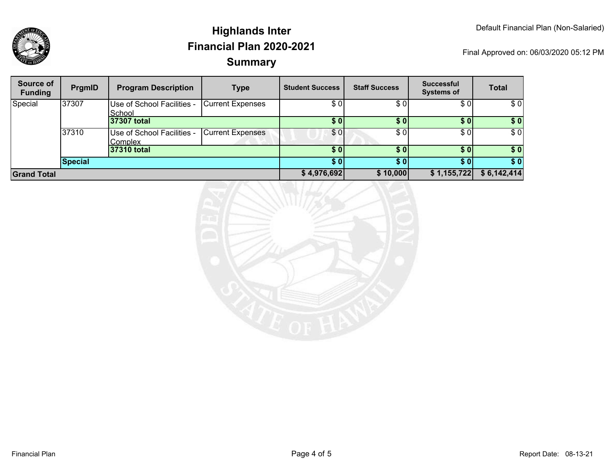

| Source of<br><b>Funding</b> | PrgmID  | <b>Program Description</b>            | <b>Type</b>             | <b>Student Success</b> | <b>Staff Success</b> | <b>Successful</b><br><b>Systems of</b> | <b>Total</b> |
|-----------------------------|---------|---------------------------------------|-------------------------|------------------------|----------------------|----------------------------------------|--------------|
| Special                     | 37307   | Use of School Facilities -<br>School  | <b>Current Expenses</b> | \$0                    | \$0                  | \$0                                    | \$0          |
|                             |         | 37307 total                           |                         | \$0                    | \$0                  | \$01                                   | \$0          |
|                             | 37310   | Use of School Facilities -<br>Complex | <b>Current Expenses</b> | \$0                    | \$0                  | \$0                                    | \$0          |
|                             |         | 37310 total                           |                         | \$0                    | \$0                  | \$01                                   | \$0          |
|                             | Special |                                       |                         | \$0                    |                      | \$01                                   | \$0          |
| <b>Grand Total</b>          |         |                                       |                         | \$4,976,692            | \$10,000             | \$1,155,722                            | \$6,142,414  |